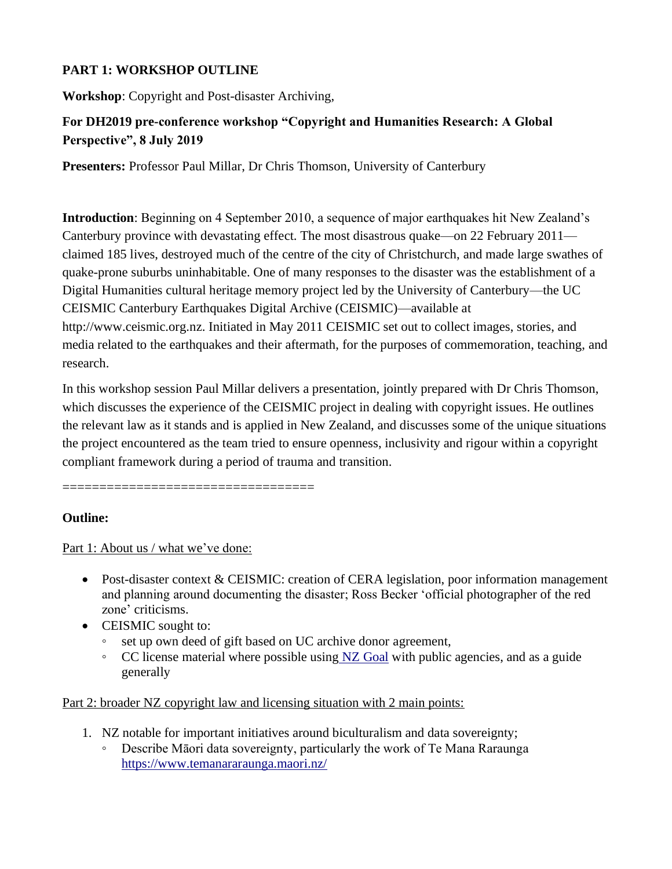### **PART 1: WORKSHOP OUTLINE**

**Workshop**: Copyright and Post-disaster Archiving,

### **For DH2019 pre-conference workshop "Copyright and Humanities Research: A Global Perspective", 8 July 2019**

**Presenters:** Professor Paul Millar, Dr Chris Thomson, University of Canterbury

**Introduction**: Beginning on 4 September 2010, a sequence of major earthquakes hit New Zealand's Canterbury province with devastating effect. The most disastrous quake—on 22 February 2011 claimed 185 lives, destroyed much of the centre of the city of Christchurch, and made large swathes of quake-prone suburbs uninhabitable. One of many responses to the disaster was the establishment of a Digital Humanities cultural heritage memory project led by the University of Canterbury—the UC CEISMIC Canterbury Earthquakes Digital Archive (CEISMIC)—available at http://www.ceismic.org.nz. Initiated in May 2011 CEISMIC set out to collect images, stories, and media related to the earthquakes and their aftermath, for the purposes of commemoration, teaching, and research.

In this workshop session Paul Millar delivers a presentation, jointly prepared with Dr Chris Thomson, which discusses the experience of the CEISMIC project in dealing with copyright issues. He outlines the relevant law as it stands and is applied in New Zealand, and discusses some of the unique situations the project encountered as the team tried to ensure openness, inclusivity and rigour within a copyright compliant framework during a period of trauma and transition.

==================================

### **Outline:**

Part 1: About us / what we've done:

- Post-disaster context & CEISMIC: creation of CERA legislation, poor information management and planning around documenting the disaster; Ross Becker 'official photographer of the red zone' criticisms.
- CEISMIC sought to:
	- set up own deed of gift based on UC archive donor agreement,
	- $\degree$  CC license material where possible using [NZ Goal](https://www.data.govt.nz/manage-data/policies/nzgoal) with public agencies, and as a guide generally

Part 2: broader NZ copyright law and licensing situation with 2 main points:

- 1. NZ notable for important initiatives around biculturalism and data sovereignty;
	- Describe Māori data sovereignty, particularly the work of Te Mana Raraunga <https://www.temanararaunga.maori.nz/>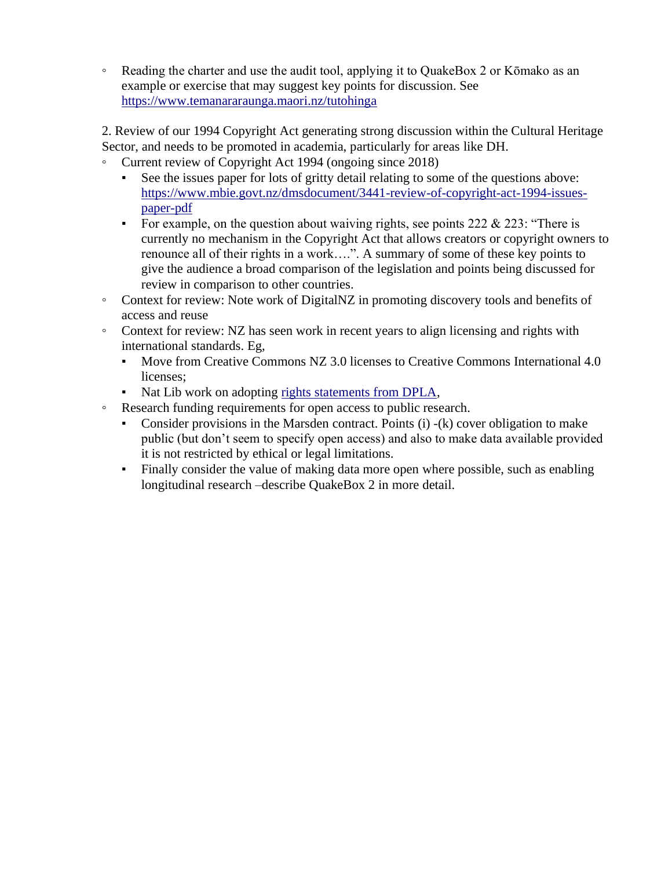◦ Reading the charter and use the audit tool, applying it to QuakeBox 2 or Kōmako as an example or exercise that may suggest key points for discussion. See <https://www.temanararaunga.maori.nz/tutohinga>

2. Review of our 1994 Copyright Act generating strong discussion within the Cultural Heritage Sector, and needs to be promoted in academia, particularly for areas like DH.

- Current review of Copyright Act 1994 (ongoing since 2018)
	- See the issues paper for lots of gritty detail relating to some of the questions above: [https://www.mbie.govt.nz/dmsdocument/3441-review-of-copyright-act-1994-issues](https://www.mbie.govt.nz/dmsdocument/3441-review-of-copyright-act-1994-issues-paper-pdf)[paper-pdf](https://www.mbie.govt.nz/dmsdocument/3441-review-of-copyright-act-1994-issues-paper-pdf)
	- **•** For example, on the question about waiving rights, see points  $222 \& 223$ : "There is currently no mechanism in the Copyright Act that allows creators or copyright owners to renounce all of their rights in a work….". A summary of some of these key points to give the audience a broad comparison of the legislation and points being discussed for review in comparison to other countries.
- Context for review: Note work of DigitalNZ in promoting discovery tools and benefits of access and reuse
- Context for review: NZ has seen work in recent years to align licensing and rights with international standards. Eg,
	- Move from Creative Commons NZ 3.0 licenses to Creative Commons International 4.0 licenses;
	- Nat Lib work on adopting [rights statements from DPLA,](https://natlib.govt.nz/librarians/reports-and-research/rights-statements-for-new-zealand-collecting-insitutions)
- Research funding requirements for open access to public research.
	- Consider provisions in the Marsden contract. Points (i) -(k) cover obligation to make public (but don't seem to specify open access) and also to make data available provided it is not restricted by ethical or legal limitations.
	- Finally consider the value of making data more open where possible, such as enabling longitudinal research –describe QuakeBox 2 in more detail.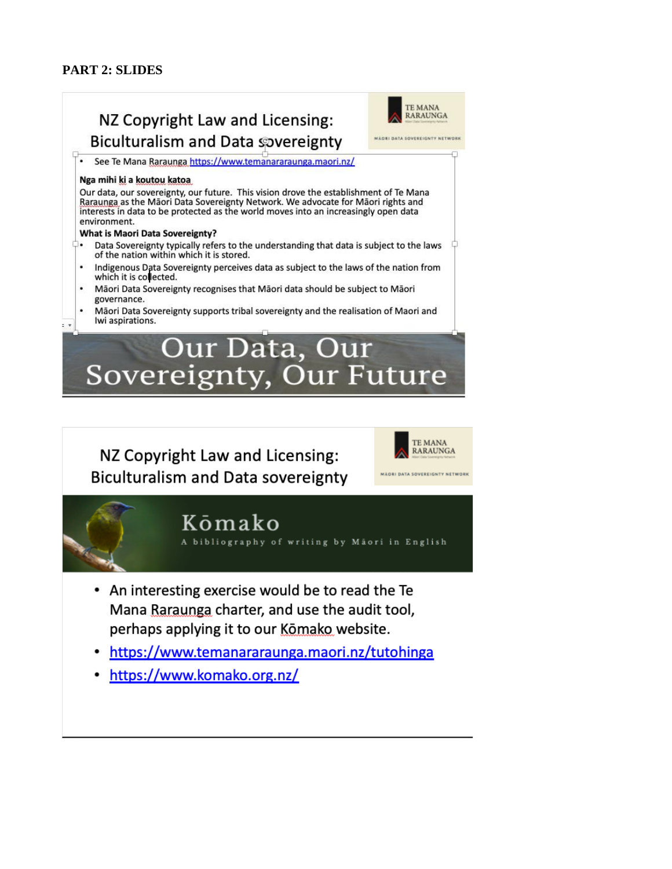#### **PART 2: SLIDES**

 $2.17$ 



### NZ Copyright Law and Licensing: **Biculturalism and Data sovereignty**

See Te Mana Raraunga https://www.temanararaunga.maori.nz/

#### Nga mihi ki a koutou katoa

Our data, our sovereignty, our future. This vision drove the establishment of Te Mana Raraunga as the Māori Data Sovereignty Network. We advocate for Māori rights and interests in data to be protected as the world moves into an increasingly open data environment.

#### **What is Maori Data Sovereignty?**

- $\Box$ . Data Sovereignty typically refers to the understanding that data is subject to the laws of the nation within which it is stored.
- Indigenous Data Sovereignty perceives data as subject to the laws of the nation from which it is collected.
- Māori Data Sovereignty recognises that Māori data should be subject to Māori governance.
- Māori Data Sovereignty supports tribal sovereignty and the realisation of Maori and Iwi aspirations.

## Our Data, Our Sovereignty, Our Future

NZ Copyright Law and Licensing: **Biculturalism and Data sovereignty** 



### Kōmako

bibliography of writing by Maori in English

- An interesting exercise would be to read the Te Mana Raraunga charter, and use the audit tool, perhaps applying it to our Komako website.
- https://www.temanararaunga.maori.nz/tutohinga  $\bullet$
- https://www.komako.org.nz/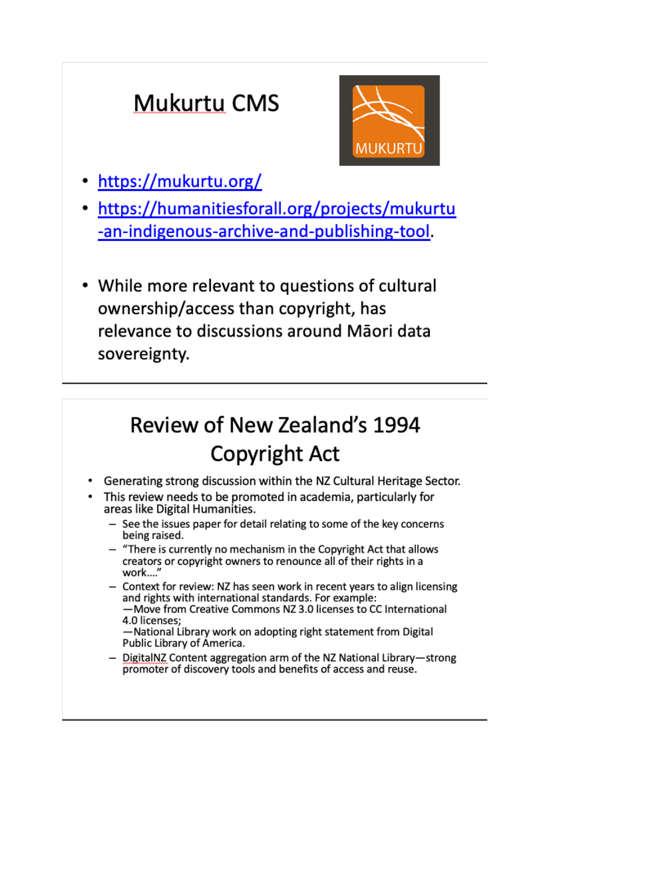## **Mukurtu CMS**



- https://mukurtu.org/
- https://humanitiesforall.org/projects/mukurtu -an-indigenous-archive-and-publishing-tool.
- While more relevant to questions of cultural ownership/access than copyright, has relevance to discussions around Māori data sovereignty.

### Review of New Zealand's 1994 **Copyright Act**

- Generating strong discussion within the NZ Cultural Heritage Sector.
- This review needs to be promoted in academia, particularly for areas like Digital Humanities.
	- See the issues paper for detail relating to some of the key concerns being raised.
	- "There is currently no mechanism in the Copyright Act that allows creators or copyright owners to renounce all of their rights in a work...."
	- Context for review: NZ has seen work in recent years to align licensing and rights with international standards. For example: -Move from Creative Commons NZ 3.0 licenses to CC International 4.0 licenses;

-National Library work on adopting right statement from Digital Public Library of America.

- DigitalNZ Content aggregation arm of the NZ National Library-strong promoter of discovery tools and benefits of access and reuse.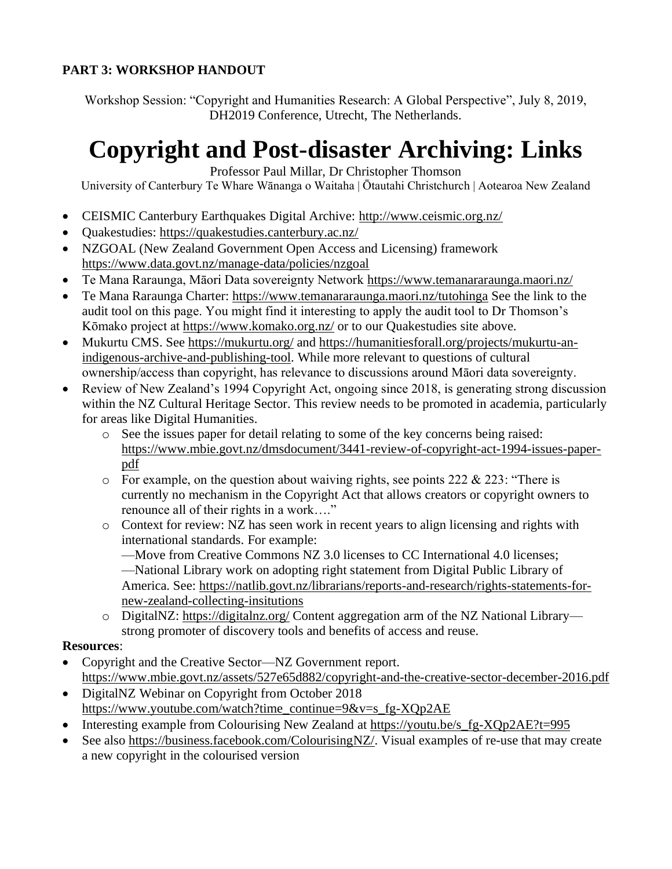### **PART 3: WORKSHOP HANDOUT**

Workshop Session: "Copyright and Humanities Research: A Global Perspective", July 8, 2019, DH2019 Conference, Utrecht, The Netherlands.

### **Copyright and Post-disaster Archiving: Links**

Professor Paul Millar, Dr Christopher Thomson

University of Canterbury Te Whare Wānanga o Waitaha | Ōtautahi Christchurch | Aotearoa New Zealand

- CEISMIC Canterbury Earthquakes Digital Archive:<http://www.ceismic.org.nz/>
- Quakestudies:<https://quakestudies.canterbury.ac.nz/>
- NZGOAL (New Zealand Government Open Access and Licensing) framework <https://www.data.govt.nz/manage-data/policies/nzgoal>
- Te Mana Raraunga, Māori Data sovereignty Network<https://www.temanararaunga.maori.nz/>
- Te Mana Raraunga Charter:<https://www.temanararaunga.maori.nz/tutohinga> See the link to the audit tool on this page. You might find it interesting to apply the audit tool to Dr Thomson's Kōmako project at<https://www.komako.org.nz/> or to our Quakestudies site above.
- Mukurtu CMS. See<https://mukurtu.org/> and [https://humanitiesforall.org/projects/mukurtu-an](https://humanitiesforall.org/projects/mukurtu-an-indigenous-archive-and-publishing-tool)[indigenous-archive-and-publishing-tool.](https://humanitiesforall.org/projects/mukurtu-an-indigenous-archive-and-publishing-tool) While more relevant to questions of cultural ownership/access than copyright, has relevance to discussions around Māori data sovereignty.
- Review of New Zealand's 1994 Copyright Act, ongoing since 2018, is generating strong discussion within the NZ Cultural Heritage Sector. This review needs to be promoted in academia, particularly for areas like Digital Humanities.
	- o See the issues paper for detail relating to some of the key concerns being raised: [https://www.mbie.govt.nz/dmsdocument/3441-review-of-copyright-act-1994-issues-paper](https://www.mbie.govt.nz/dmsdocument/3441-review-of-copyright-act-1994-issues-paper-pdf)[pdf](https://www.mbie.govt.nz/dmsdocument/3441-review-of-copyright-act-1994-issues-paper-pdf)
	- $\circ$  For example, on the question about waiving rights, see points 222 & 223: "There is currently no mechanism in the Copyright Act that allows creators or copyright owners to renounce all of their rights in a work…."
	- o Context for review: NZ has seen work in recent years to align licensing and rights with international standards. For example:

—Move from Creative Commons NZ 3.0 licenses to CC International 4.0 licenses; —National Library work on adopting right statement from Digital Public Library of America. See: [https://natlib.govt.nz/librarians/reports-and-research/rights-statements-for](https://natlib.govt.nz/librarians/reports-and-research/rights-statements-for-new-zealand-collecting-insitutions)[new-zealand-collecting-insitutions](https://natlib.govt.nz/librarians/reports-and-research/rights-statements-for-new-zealand-collecting-insitutions)

o DigitalNZ:<https://digitalnz.org/> Content aggregation arm of the NZ National Library strong promoter of discovery tools and benefits of access and reuse.

### **Resources**:

- Copyright and the Creative Sector—NZ Government report. <https://www.mbie.govt.nz/assets/527e65d882/copyright-and-the-creative-sector-december-2016.pdf>
- DigitalNZ Webinar on Copyright from October 2018 [https://www.youtube.com/watch?time\\_continue=9&v=s\\_fg-XQp2AE](https://www.youtube.com/watch?time_continue=9&v=s_fg-XQp2AE)
- Interesting example from Colourising New Zealand at https://youtu.be/s fg-XQp2AE?t=995
- See also [https://business.facebook.com/ColourisingNZ/.](https://business.facebook.com/ColourisingNZ/) Visual examples of re-use that may create a new copyright in the colourised version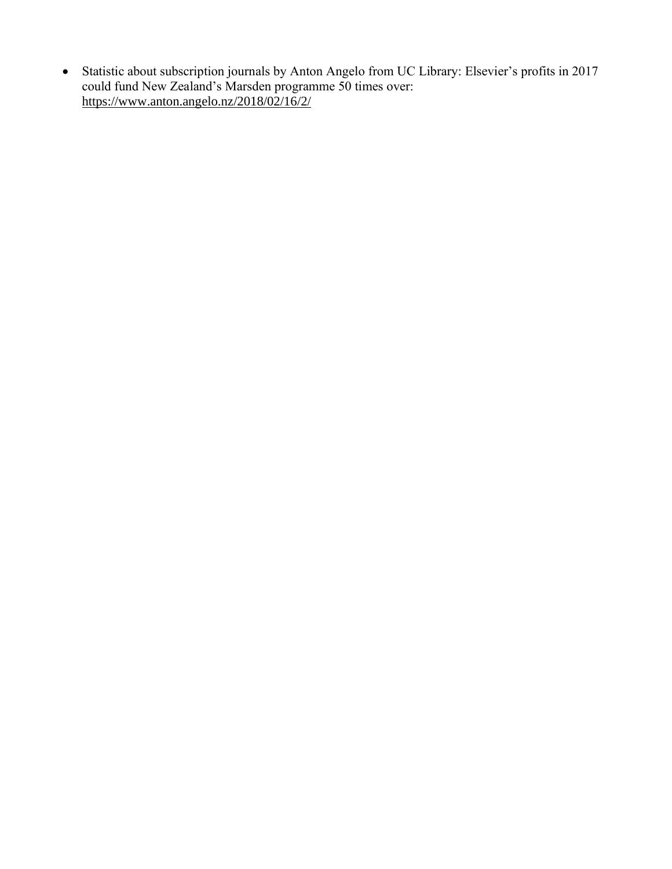• Statistic about subscription journals by Anton Angelo from UC Library: Elsevier's profits in 2017 could fund New Zealand's Marsden programme 50 times over: <https://www.anton.angelo.nz/2018/02/16/2/>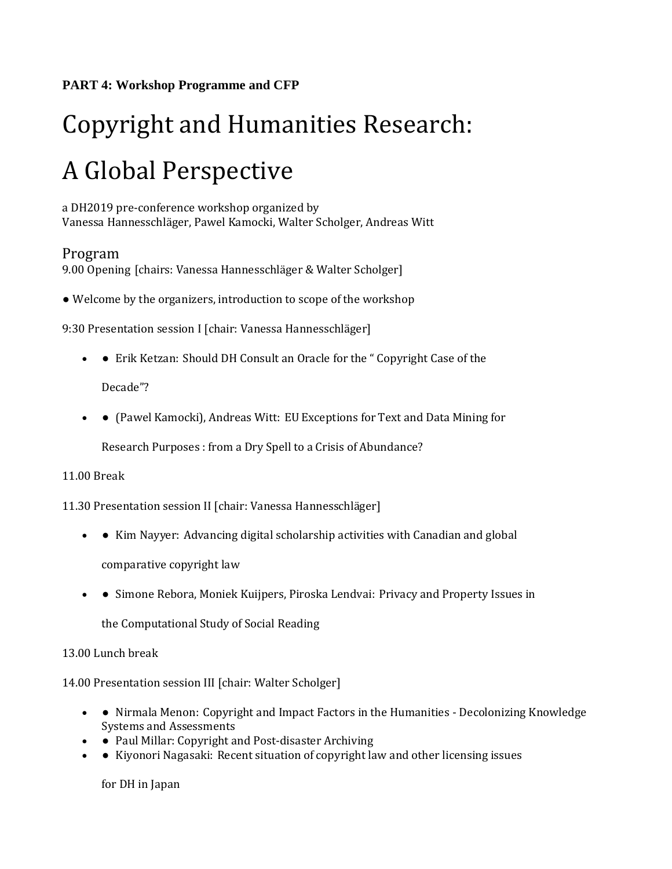# Copyright and Humanities Research: A Global Perspective

a DH2019 pre-conference workshop organized by Vanessa Hannesschläger, Pawel Kamocki, Walter Scholger, Andreas Witt

### Program

9.00 Opening [chairs: Vanessa Hannesschläger & Walter Scholger]

• Welcome by the organizers, introduction to scope of the workshop

9:30 Presentation session I [chair: Vanessa Hannesschläger]

• • Erik Ketzan: Should DH Consult an Oracle for the "Copyright Case of the

Decade"?

• ● (Pawel Kamocki), Andreas Witt: EU Exceptions for Text and Data Mining for

Research Purposes : from a Dry Spell to a Crisis of Abundance?

### 11.00 Break

11.30 Presentation session II [chair: Vanessa Hannesschläger]

• ● Kim Nayyer: Advancing digital scholarship activities with Canadian and global

comparative copyright law

• ● Simone Rebora, Moniek Kuijpers, Piroska Lendvai: Privacy and Property Issues in

the Computational Study of Social Reading

### 13.00 Lunch break

14.00 Presentation session III [chair: Walter Scholger]

- • Nirmala Menon: Copyright and Impact Factors in the Humanities Decolonizing Knowledge Systems and Assessments
- • Paul Millar: Copyright and Post-disaster Archiving
- • Kiyonori Nagasaki: Recent situation of copyright law and other licensing issues

for DH in Japan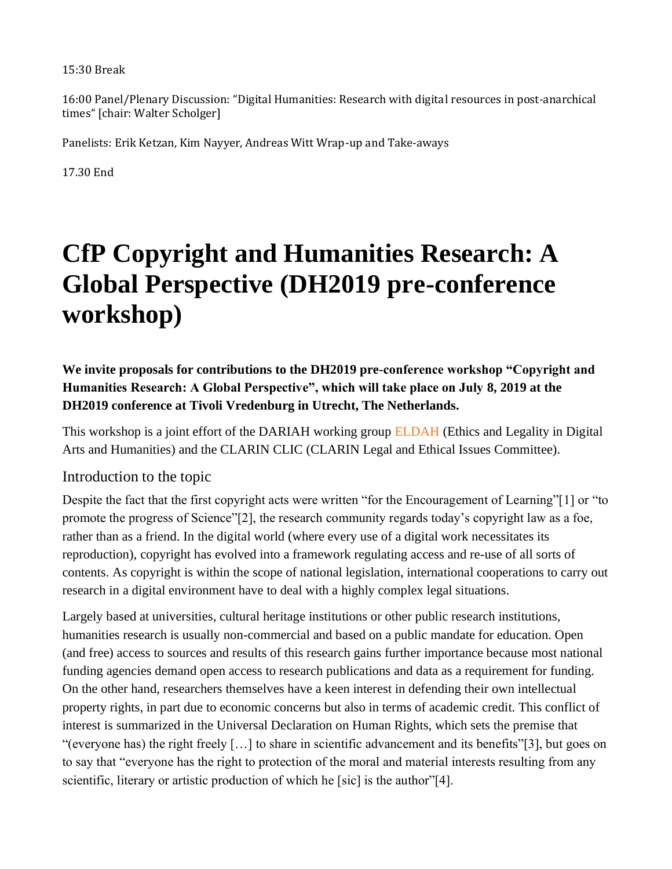#### 15:30 Break

16:00 Panel/Plenary Discussion: "Digital Humanities: Research with digital resources in post-anarchical times" [chair: Walter Scholger]

Panelists: Erik Ketzan, Kim Nayyer, Andreas Witt Wrap-up and Take-aways

17.30 End

# **CfP Copyright and Humanities Research: A Global Perspective (DH2019 pre-conference workshop)**

**We invite proposals for contributions to the DH2019 pre-conference workshop "Copyright and Humanities Research: A Global Perspective", which will take place on July 8, 2019 at the [DH2019 conference](https://dh2019.adho.org/) at Tivoli Vredenburg in Utrecht, The Netherlands.**

This workshop is a joint effort of the DARIAH working group ELDAH (Ethics and Legality in Digital Arts and Humanities) and the CLARIN CLIC (CLARIN Legal and Ethical Issues Committee).

### Introduction to the topic

Despite the fact that the first copyright acts were written "for the Encouragement of Learning"[1] or "to promote the progress of Science"[2], the research community regards today's copyright law as a foe, rather than as a friend. In the digital world (where every use of a digital work necessitates its reproduction), copyright has evolved into a framework regulating access and re-use of all sorts of contents. As copyright is within the scope of national legislation, international cooperations to carry out research in a digital environment have to deal with a highly complex legal situations.

Largely based at universities, cultural heritage institutions or other public research institutions, humanities research is usually non-commercial and based on a public mandate for education. Open (and free) access to sources and results of this research gains further importance because most national funding agencies demand open access to research publications and data as a requirement for funding. On the other hand, researchers themselves have a keen interest in defending their own intellectual property rights, in part due to economic concerns but also in terms of academic credit. This conflict of interest is summarized in the Universal Declaration on Human Rights, which sets the premise that "(everyone has) the right freely […] to share in scientific advancement and its benefits"[3], but goes on to say that "everyone has the right to protection of the moral and material interests resulting from any scientific, literary or artistic production of which he [sic] is the author"[4].